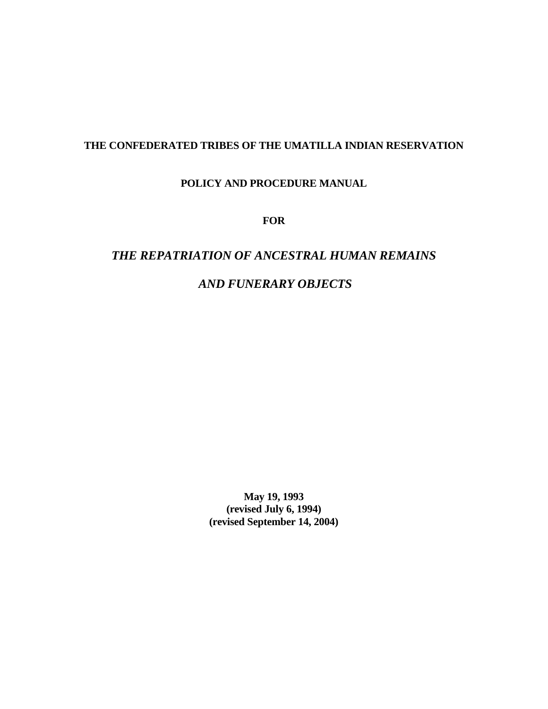## **THE CONFEDERATED TRIBES OF THE UMATILLA INDIAN RESERVATION**

## **POLICY AND PROCEDURE MANUAL**

**FOR**

# *THE REPATRIATION OF ANCESTRAL HUMAN REMAINS AND FUNERARY OBJECTS*

**May 19, 1993 (revised July 6, 1994) (revised September 14, 2004)**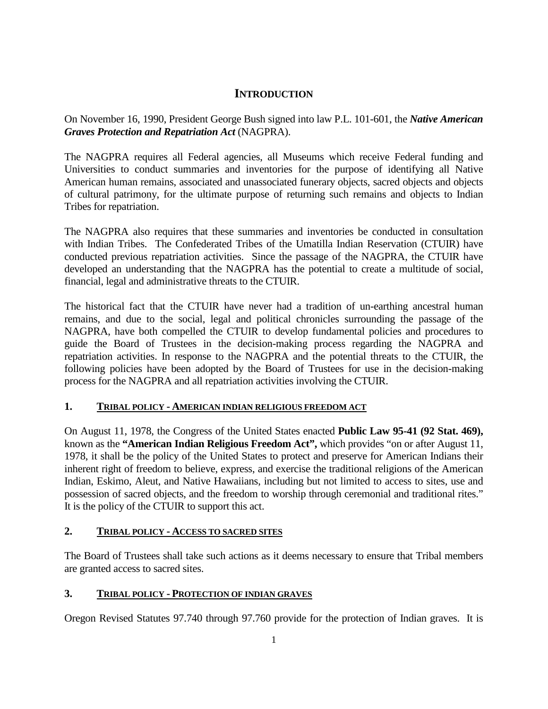# **INTRODUCTION**

On November 16, 1990, President George Bush signed into law P.L. 101-601, the *Native American Graves Protection and Repatriation Act* (NAGPRA).

The NAGPRA requires all Federal agencies, all Museums which receive Federal funding and Universities to conduct summaries and inventories for the purpose of identifying all Native American human remains, associated and unassociated funerary objects, sacred objects and objects of cultural patrimony, for the ultimate purpose of returning such remains and objects to Indian Tribes for repatriation.

The NAGPRA also requires that these summaries and inventories be conducted in consultation with Indian Tribes. The Confederated Tribes of the Umatilla Indian Reservation (CTUIR) have conducted previous repatriation activities. Since the passage of the NAGPRA, the CTUIR have developed an understanding that the NAGPRA has the potential to create a multitude of social, financial, legal and administrative threats to the CTUIR.

The historical fact that the CTUIR have never had a tradition of un-earthing ancestral human remains, and due to the social, legal and political chronicles surrounding the passage of the NAGPRA, have both compelled the CTUIR to develop fundamental policies and procedures to guide the Board of Trustees in the decision-making process regarding the NAGPRA and repatriation activities. In response to the NAGPRA and the potential threats to the CTUIR, the following policies have been adopted by the Board of Trustees for use in the decision-making process for the NAGPRA and all repatriation activities involving the CTUIR.

## **1. TRIBAL POLICY - AMERICAN INDIAN RELIGIOUS FREEDOM ACT**

On August 11, 1978, the Congress of the United States enacted **Public Law 95-41 (92 Stat. 469),** known as the **"American Indian Religious Freedom Act",** which provides "on or after August 11, 1978, it shall be the policy of the United States to protect and preserve for American Indians their inherent right of freedom to believe, express, and exercise the traditional religions of the American Indian, Eskimo, Aleut, and Native Hawaiians, including but not limited to access to sites, use and possession of sacred objects, and the freedom to worship through ceremonial and traditional rites." It is the policy of the CTUIR to support this act.

## **2. TRIBAL POLICY - ACCESS TO SACRED SITES**

The Board of Trustees shall take such actions as it deems necessary to ensure that Tribal members are granted access to sacred sites.

## **3. TRIBAL POLICY - PROTECTION OF INDIAN GRAVES**

Oregon Revised Statutes 97.740 through 97.760 provide for the protection of Indian graves. It is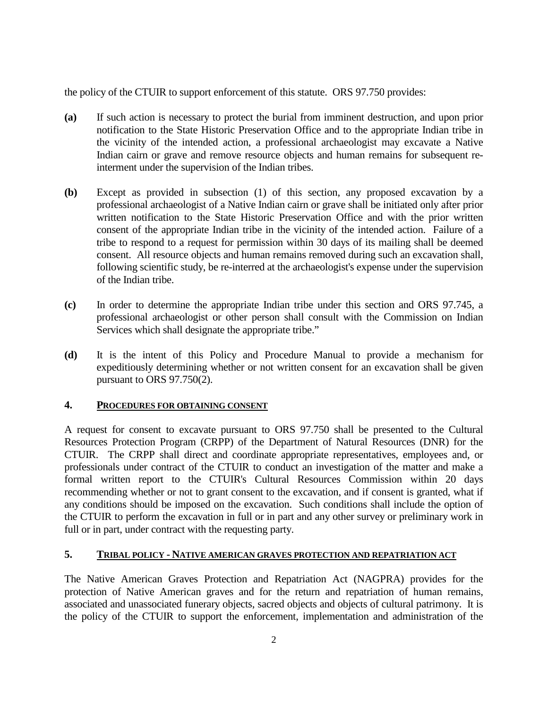the policy of the CTUIR to support enforcement of this statute. ORS 97.750 provides:

- **(a)** If such action is necessary to protect the burial from imminent destruction, and upon prior notification to the State Historic Preservation Office and to the appropriate Indian tribe in the vicinity of the intended action, a professional archaeologist may excavate a Native Indian cairn or grave and remove resource objects and human remains for subsequent reinterment under the supervision of the Indian tribes.
- **(b)** Except as provided in subsection (1) of this section, any proposed excavation by a professional archaeologist of a Native Indian cairn or grave shall be initiated only after prior written notification to the State Historic Preservation Office and with the prior written consent of the appropriate Indian tribe in the vicinity of the intended action. Failure of a tribe to respond to a request for permission within 30 days of its mailing shall be deemed consent. All resource objects and human remains removed during such an excavation shall, following scientific study, be re-interred at the archaeologist's expense under the supervision of the Indian tribe.
- **(c)** In order to determine the appropriate Indian tribe under this section and ORS 97.745, a professional archaeologist or other person shall consult with the Commission on Indian Services which shall designate the appropriate tribe."
- **(d)** It is the intent of this Policy and Procedure Manual to provide a mechanism for expeditiously determining whether or not written consent for an excavation shall be given pursuant to ORS 97.750(2).

#### **4. PROCEDURES FOR OBTAINING CONSENT**

A request for consent to excavate pursuant to ORS 97.750 shall be presented to the Cultural Resources Protection Program (CRPP) of the Department of Natural Resources (DNR) for the CTUIR. The CRPP shall direct and coordinate appropriate representatives, employees and, or professionals under contract of the CTUIR to conduct an investigation of the matter and make a formal written report to the CTUIR's Cultural Resources Commission within 20 days recommending whether or not to grant consent to the excavation, and if consent is granted, what if any conditions should be imposed on the excavation. Such conditions shall include the option of the CTUIR to perform the excavation in full or in part and any other survey or preliminary work in full or in part, under contract with the requesting party.

#### **5. TRIBAL POLICY - NATIVE AMERICAN GRAVES PROTECTION AND REPATRIATION ACT**

The Native American Graves Protection and Repatriation Act (NAGPRA) provides for the protection of Native American graves and for the return and repatriation of human remains, associated and unassociated funerary objects, sacred objects and objects of cultural patrimony. It is the policy of the CTUIR to support the enforcement, implementation and administration of the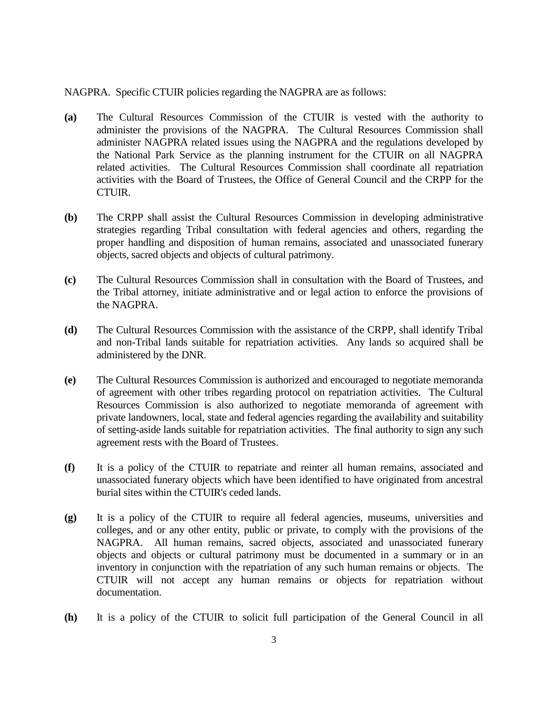NAGPRA. Specific CTUIR policies regarding the NAGPRA are as follows:

- **(a)** The Cultural Resources Commission of the CTUIR is vested with the authority to administer the provisions of the NAGPRA. The Cultural Resources Commission shall administer NAGPRA related issues using the NAGPRA and the regulations developed by the National Park Service as the planning instrument for the CTUIR on all NAGPRA related activities. The Cultural Resources Commission shall coordinate all repatriation activities with the Board of Trustees, the Office of General Council and the CRPP for the CTUIR.
- **(b)** The CRPP shall assist the Cultural Resources Commission in developing administrative strategies regarding Tribal consultation with federal agencies and others, regarding the proper handling and disposition of human remains, associated and unassociated funerary objects, sacred objects and objects of cultural patrimony.
- **(c)** The Cultural Resources Commission shall in consultation with the Board of Trustees, and the Tribal attorney, initiate administrative and or legal action to enforce the provisions of the NAGPRA.
- **(d)** The Cultural Resources Commission with the assistance of the CRPP, shall identify Tribal and non-Tribal lands suitable for repatriation activities. Any lands so acquired shall be administered by the DNR.
- **(e)** The Cultural Resources Commission is authorized and encouraged to negotiate memoranda of agreement with other tribes regarding protocol on repatriation activities. The Cultural Resources Commission is also authorized to negotiate memoranda of agreement with private landowners, local, state and federal agencies regarding the availability and suitability of setting-aside lands suitable for repatriation activities. The final authority to sign any such agreement rests with the Board of Trustees.
- **(f)** It is a policy of the CTUIR to repatriate and reinter all human remains, associated and unassociated funerary objects which have been identified to have originated from ancestral burial sites within the CTUIR's ceded lands.
- **(g)** It is a policy of the CTUIR to require all federal agencies, museums, universities and colleges, and or any other entity, public or private, to comply with the provisions of the NAGPRA. All human remains, sacred objects, associated and unassociated funerary objects and objects or cultural patrimony must be documented in a summary or in an inventory in conjunction with the repatriation of any such human remains or objects. The CTUIR will not accept any human remains or objects for repatriation without documentation.
- **(h)** It is a policy of the CTUIR to solicit full participation of the General Council in all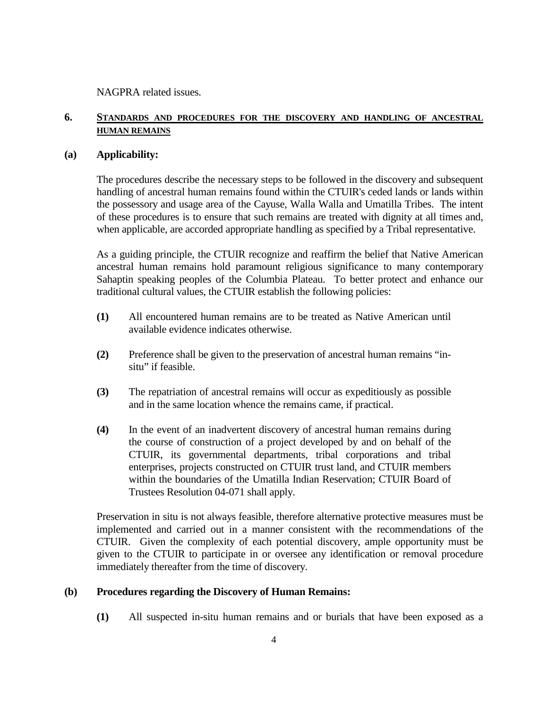NAGPRA related issues.

## **6. STANDARDS AND PROCEDURES FOR THE DISCOVERY AND HANDLING OF ANCESTRAL HUMAN REMAINS**

#### **(a) Applicability:**

The procedures describe the necessary steps to be followed in the discovery and subsequent handling of ancestral human remains found within the CTUIR's ceded lands or lands within the possessory and usage area of the Cayuse, Walla Walla and Umatilla Tribes. The intent of these procedures is to ensure that such remains are treated with dignity at all times and, when applicable, are accorded appropriate handling as specified by a Tribal representative.

As a guiding principle, the CTUIR recognize and reaffirm the belief that Native American ancestral human remains hold paramount religious significance to many contemporary Sahaptin speaking peoples of the Columbia Plateau. To better protect and enhance our traditional cultural values, the CTUIR establish the following policies:

- **(1)** All encountered human remains are to be treated as Native American until available evidence indicates otherwise.
- **(2)** Preference shall be given to the preservation of ancestral human remains "insitu" if feasible.
- **(3)** The repatriation of ancestral remains will occur as expeditiously as possible and in the same location whence the remains came, if practical.
- **(4)** In the event of an inadvertent discovery of ancestral human remains during the course of construction of a project developed by and on behalf of the CTUIR, its governmental departments, tribal corporations and tribal enterprises, projects constructed on CTUIR trust land, and CTUIR members within the boundaries of the Umatilla Indian Reservation; CTUIR Board of Trustees Resolution 04-071 shall apply.

Preservation in situ is not always feasible, therefore alternative protective measures must be implemented and carried out in a manner consistent with the recommendations of the CTUIR. Given the complexity of each potential discovery, ample opportunity must be given to the CTUIR to participate in or oversee any identification or removal procedure immediately thereafter from the time of discovery.

#### **(b) Procedures regarding the Discovery of Human Remains:**

**(1)** All suspected in-situ human remains and or burials that have been exposed as a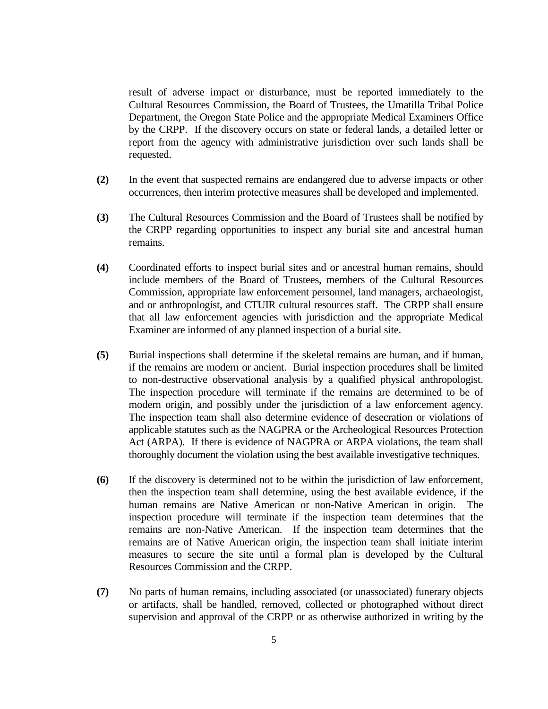result of adverse impact or disturbance, must be reported immediately to the Cultural Resources Commission, the Board of Trustees, the Umatilla Tribal Police Department, the Oregon State Police and the appropriate Medical Examiners Office by the CRPP. If the discovery occurs on state or federal lands, a detailed letter or report from the agency with administrative jurisdiction over such lands shall be requested.

- **(2)** In the event that suspected remains are endangered due to adverse impacts or other occurrences, then interim protective measures shall be developed and implemented.
- **(3)** The Cultural Resources Commission and the Board of Trustees shall be notified by the CRPP regarding opportunities to inspect any burial site and ancestral human remains.
- **(4)** Coordinated efforts to inspect burial sites and or ancestral human remains, should include members of the Board of Trustees, members of the Cultural Resources Commission, appropriate law enforcement personnel, land managers, archaeologist, and or anthropologist, and CTUIR cultural resources staff. The CRPP shall ensure that all law enforcement agencies with jurisdiction and the appropriate Medical Examiner are informed of any planned inspection of a burial site.
- **(5)** Burial inspections shall determine if the skeletal remains are human, and if human, if the remains are modern or ancient. Burial inspection procedures shall be limited to non-destructive observational analysis by a qualified physical anthropologist. The inspection procedure will terminate if the remains are determined to be of modern origin, and possibly under the jurisdiction of a law enforcement agency. The inspection team shall also determine evidence of desecration or violations of applicable statutes such as the NAGPRA or the Archeological Resources Protection Act (ARPA). If there is evidence of NAGPRA or ARPA violations, the team shall thoroughly document the violation using the best available investigative techniques.
- **(6)** If the discovery is determined not to be within the jurisdiction of law enforcement, then the inspection team shall determine, using the best available evidence, if the human remains are Native American or non-Native American in origin. The inspection procedure will terminate if the inspection team determines that the remains are non-Native American. If the inspection team determines that the remains are of Native American origin, the inspection team shall initiate interim measures to secure the site until a formal plan is developed by the Cultural Resources Commission and the CRPP.
- **(7)** No parts of human remains, including associated (or unassociated) funerary objects or artifacts, shall be handled, removed, collected or photographed without direct supervision and approval of the CRPP or as otherwise authorized in writing by the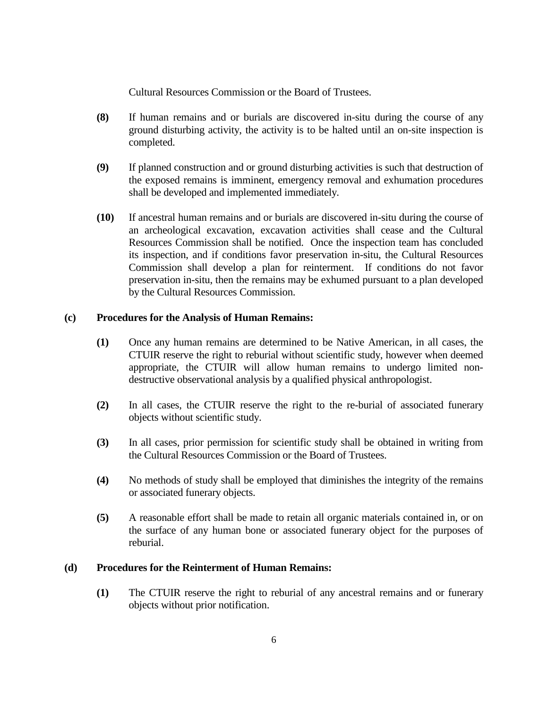Cultural Resources Commission or the Board of Trustees.

- **(8)** If human remains and or burials are discovered in-situ during the course of any ground disturbing activity, the activity is to be halted until an on-site inspection is completed.
- **(9)** If planned construction and or ground disturbing activities is such that destruction of the exposed remains is imminent, emergency removal and exhumation procedures shall be developed and implemented immediately.
- **(10)** If ancestral human remains and or burials are discovered in-situ during the course of an archeological excavation, excavation activities shall cease and the Cultural Resources Commission shall be notified. Once the inspection team has concluded its inspection, and if conditions favor preservation in-situ, the Cultural Resources Commission shall develop a plan for reinterment. If conditions do not favor preservation in-situ, then the remains may be exhumed pursuant to a plan developed by the Cultural Resources Commission.

#### **(c) Procedures for the Analysis of Human Remains:**

- **(1)** Once any human remains are determined to be Native American, in all cases, the CTUIR reserve the right to reburial without scientific study, however when deemed appropriate, the CTUIR will allow human remains to undergo limited nondestructive observational analysis by a qualified physical anthropologist.
- **(2)** In all cases, the CTUIR reserve the right to the re-burial of associated funerary objects without scientific study.
- **(3)** In all cases, prior permission for scientific study shall be obtained in writing from the Cultural Resources Commission or the Board of Trustees.
- **(4)** No methods of study shall be employed that diminishes the integrity of the remains or associated funerary objects.
- **(5)** A reasonable effort shall be made to retain all organic materials contained in, or on the surface of any human bone or associated funerary object for the purposes of reburial.

#### **(d) Procedures for the Reinterment of Human Remains:**

**(1)** The CTUIR reserve the right to reburial of any ancestral remains and or funerary objects without prior notification.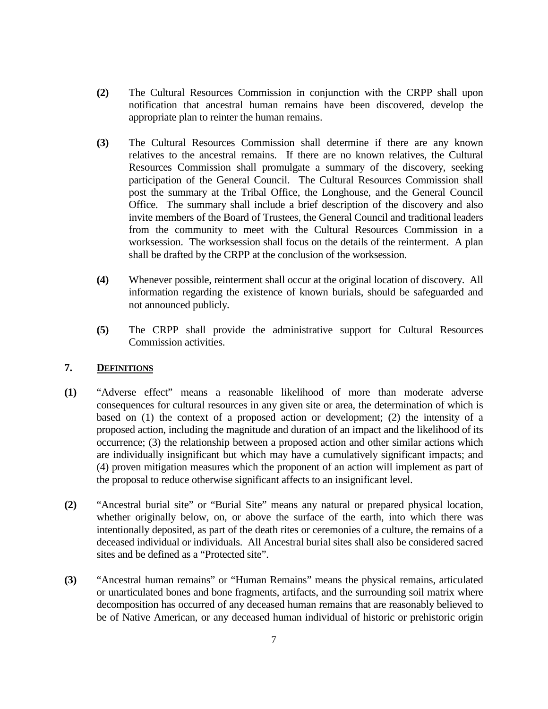- **(2)** The Cultural Resources Commission in conjunction with the CRPP shall upon notification that ancestral human remains have been discovered, develop the appropriate plan to reinter the human remains.
- **(3)** The Cultural Resources Commission shall determine if there are any known relatives to the ancestral remains. If there are no known relatives, the Cultural Resources Commission shall promulgate a summary of the discovery, seeking participation of the General Council. The Cultural Resources Commission shall post the summary at the Tribal Office, the Longhouse, and the General Council Office. The summary shall include a brief description of the discovery and also invite members of the Board of Trustees, the General Council and traditional leaders from the community to meet with the Cultural Resources Commission in a worksession. The worksession shall focus on the details of the reinterment. A plan shall be drafted by the CRPP at the conclusion of the worksession.
- **(4)** Whenever possible, reinterment shall occur at the original location of discovery. All information regarding the existence of known burials, should be safeguarded and not announced publicly.
- **(5)** The CRPP shall provide the administrative support for Cultural Resources Commission activities.

## **7. DEFINITIONS**

- **(1)** "Adverse effect" means a reasonable likelihood of more than moderate adverse consequences for cultural resources in any given site or area, the determination of which is based on (1) the context of a proposed action or development; (2) the intensity of a proposed action, including the magnitude and duration of an impact and the likelihood of its occurrence; (3) the relationship between a proposed action and other similar actions which are individually insignificant but which may have a cumulatively significant impacts; and (4) proven mitigation measures which the proponent of an action will implement as part of the proposal to reduce otherwise significant affects to an insignificant level.
- **(2)** "Ancestral burial site" or "Burial Site" means any natural or prepared physical location, whether originally below, on, or above the surface of the earth, into which there was intentionally deposited, as part of the death rites or ceremonies of a culture, the remains of a deceased individual or individuals. All Ancestral burial sites shall also be considered sacred sites and be defined as a "Protected site".
- **(3)** "Ancestral human remains" or "Human Remains" means the physical remains, articulated or unarticulated bones and bone fragments, artifacts, and the surrounding soil matrix where decomposition has occurred of any deceased human remains that are reasonably believed to be of Native American, or any deceased human individual of historic or prehistoric origin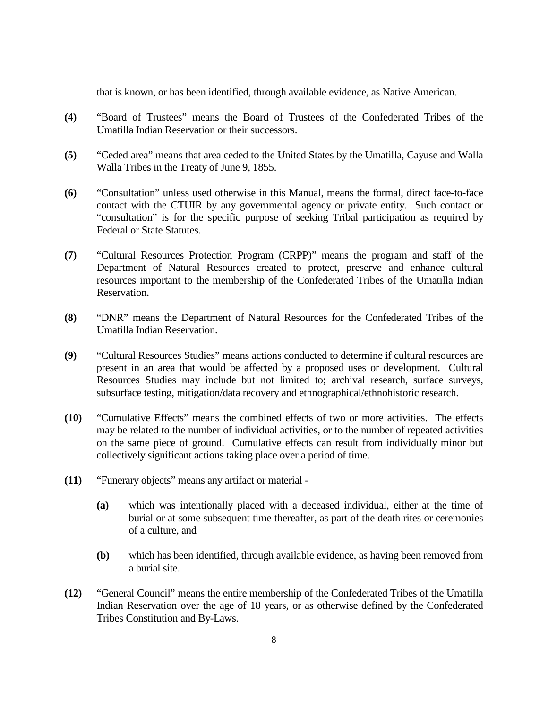that is known, or has been identified, through available evidence, as Native American.

- **(4)** "Board of Trustees" means the Board of Trustees of the Confederated Tribes of the Umatilla Indian Reservation or their successors.
- **(5)** "Ceded area" means that area ceded to the United States by the Umatilla, Cayuse and Walla Walla Tribes in the Treaty of June 9, 1855.
- **(6)** "Consultation" unless used otherwise in this Manual, means the formal, direct face-to-face contact with the CTUIR by any governmental agency or private entity. Such contact or "consultation" is for the specific purpose of seeking Tribal participation as required by Federal or State Statutes.
- **(7)** "Cultural Resources Protection Program (CRPP)" means the program and staff of the Department of Natural Resources created to protect, preserve and enhance cultural resources important to the membership of the Confederated Tribes of the Umatilla Indian Reservation.
- **(8)** "DNR" means the Department of Natural Resources for the Confederated Tribes of the Umatilla Indian Reservation.
- **(9)** "Cultural Resources Studies" means actions conducted to determine if cultural resources are present in an area that would be affected by a proposed uses or development. Cultural Resources Studies may include but not limited to; archival research, surface surveys, subsurface testing, mitigation/data recovery and ethnographical/ethnohistoric research.
- **(10)** "Cumulative Effects" means the combined effects of two or more activities. The effects may be related to the number of individual activities, or to the number of repeated activities on the same piece of ground. Cumulative effects can result from individually minor but collectively significant actions taking place over a period of time.
- **(11)** "Funerary objects" means any artifact or material
	- **(a)** which was intentionally placed with a deceased individual, either at the time of burial or at some subsequent time thereafter, as part of the death rites or ceremonies of a culture, and
	- **(b)** which has been identified, through available evidence, as having been removed from a burial site.
- **(12)** "General Council" means the entire membership of the Confederated Tribes of the Umatilla Indian Reservation over the age of 18 years, or as otherwise defined by the Confederated Tribes Constitution and By-Laws.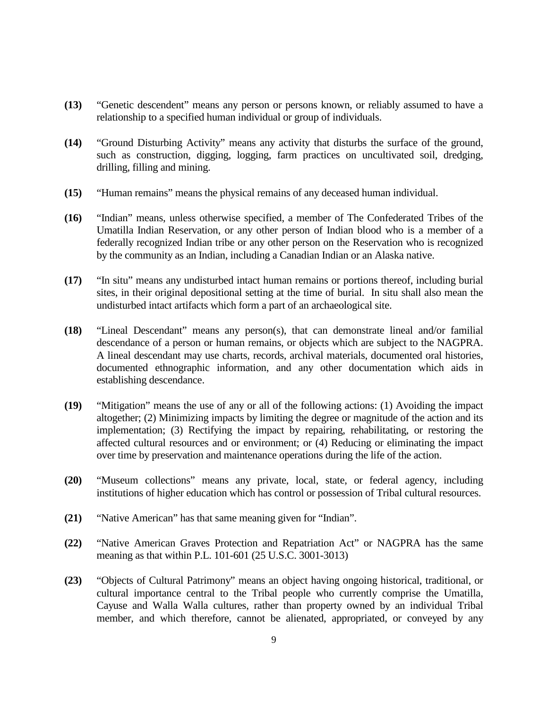- **(13)** "Genetic descendent" means any person or persons known, or reliably assumed to have a relationship to a specified human individual or group of individuals.
- **(14)** "Ground Disturbing Activity" means any activity that disturbs the surface of the ground, such as construction, digging, logging, farm practices on uncultivated soil, dredging, drilling, filling and mining.
- **(15)** "Human remains" means the physical remains of any deceased human individual.
- **(16)** "Indian" means, unless otherwise specified, a member of The Confederated Tribes of the Umatilla Indian Reservation, or any other person of Indian blood who is a member of a federally recognized Indian tribe or any other person on the Reservation who is recognized by the community as an Indian, including a Canadian Indian or an Alaska native.
- **(17)** "In situ" means any undisturbed intact human remains or portions thereof, including burial sites, in their original depositional setting at the time of burial. In situ shall also mean the undisturbed intact artifacts which form a part of an archaeological site.
- **(18)** "Lineal Descendant" means any person(s), that can demonstrate lineal and/or familial descendance of a person or human remains, or objects which are subject to the NAGPRA. A lineal descendant may use charts, records, archival materials, documented oral histories, documented ethnographic information, and any other documentation which aids in establishing descendance.
- **(19)** "Mitigation" means the use of any or all of the following actions: (1) Avoiding the impact altogether; (2) Minimizing impacts by limiting the degree or magnitude of the action and its implementation; (3) Rectifying the impact by repairing, rehabilitating, or restoring the affected cultural resources and or environment; or (4) Reducing or eliminating the impact over time by preservation and maintenance operations during the life of the action.
- **(20)** "Museum collections" means any private, local, state, or federal agency, including institutions of higher education which has control or possession of Tribal cultural resources.
- **(21)** "Native American" has that same meaning given for "Indian".
- **(22)** "Native American Graves Protection and Repatriation Act" or NAGPRA has the same meaning as that within P.L. 101-601 (25 U.S.C. 3001-3013)
- **(23)** "Objects of Cultural Patrimony" means an object having ongoing historical, traditional, or cultural importance central to the Tribal people who currently comprise the Umatilla, Cayuse and Walla Walla cultures, rather than property owned by an individual Tribal member, and which therefore, cannot be alienated, appropriated, or conveyed by any